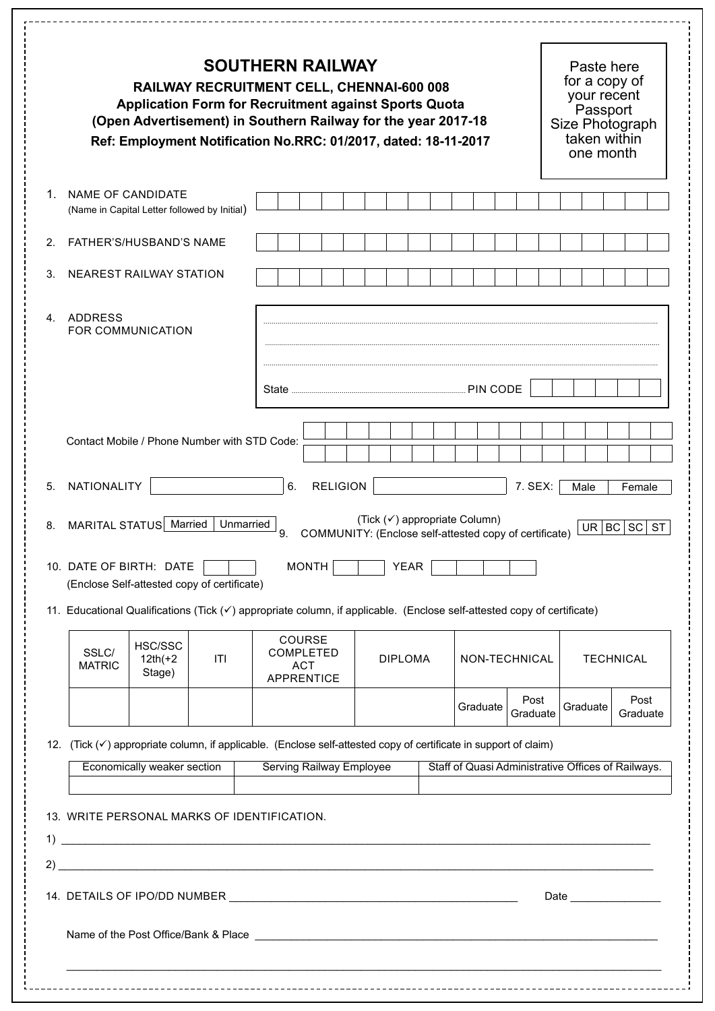| <b>SOUTHERN RAILWAY</b><br>RAILWAY RECRUITMENT CELL, CHENNAI-600 008<br><b>Application Form for Recruitment against Sports Quota</b><br>(Open Advertisement) in Southern Railway for the year 2017-18<br>Ref: Employment Notification No.RRC: 01/2017, dated: 18-11-2017 |                         |                                                                                                  |           |                                                                                                                                                                  |                                                        |                |  |          |          | Paste here<br>for a copy of<br>your recent<br>Passport<br>Size Photograph<br>taken within<br>one month |  |          |                                                                                                                 |
|--------------------------------------------------------------------------------------------------------------------------------------------------------------------------------------------------------------------------------------------------------------------------|-------------------------|--------------------------------------------------------------------------------------------------|-----------|------------------------------------------------------------------------------------------------------------------------------------------------------------------|--------------------------------------------------------|----------------|--|----------|----------|--------------------------------------------------------------------------------------------------------|--|----------|-----------------------------------------------------------------------------------------------------------------|
| 1                                                                                                                                                                                                                                                                        | NAME OF CANDIDATE       | (Name in Capital Letter followed by Initial)                                                     |           |                                                                                                                                                                  |                                                        |                |  |          |          |                                                                                                        |  |          |                                                                                                                 |
| 2.                                                                                                                                                                                                                                                                       |                         | FATHER'S/HUSBAND'S NAME                                                                          |           |                                                                                                                                                                  |                                                        |                |  |          |          |                                                                                                        |  |          |                                                                                                                 |
| 3.                                                                                                                                                                                                                                                                       | NEAREST RAILWAY STATION |                                                                                                  |           |                                                                                                                                                                  |                                                        |                |  |          |          |                                                                                                        |  |          |                                                                                                                 |
|                                                                                                                                                                                                                                                                          | 4. ADDRESS              | FOR COMMUNICATION                                                                                |           |                                                                                                                                                                  |                                                        |                |  |          | PIN CODE |                                                                                                        |  |          |                                                                                                                 |
|                                                                                                                                                                                                                                                                          |                         | Contact Mobile / Phone Number with STD Code:                                                     |           |                                                                                                                                                                  |                                                        |                |  |          |          |                                                                                                        |  |          |                                                                                                                 |
| 8.                                                                                                                                                                                                                                                                       | NATIONALITY             |                                                                                                  | Unmarried | <b>RELIGION</b><br>6.                                                                                                                                            | (Tick (√) appropriate Column)                          |                |  |          |          | 7. SEX:                                                                                                |  | Male     | Female                                                                                                          |
|                                                                                                                                                                                                                                                                          |                         | MARITAL STATUS Married<br>10. DATE OF BIRTH: DATE<br>(Enclose Self-attested copy of certificate) |           | 9.<br><b>MONTH</b><br>11. Educational Qualifications (Tick (√) appropriate column, if applicable. (Enclose self-attested copy of certificate)                    | COMMUNITY: (Enclose self-attested copy of certificate) | <b>YEAR</b>    |  |          |          |                                                                                                        |  | UR BC    | SC<br><b>ST</b>                                                                                                 |
|                                                                                                                                                                                                                                                                          | SSLC/<br><b>MATRIC</b>  | HSC/SSC<br>$12th(+2)$<br>Stage)                                                                  | ITI       | <b>COURSE</b><br><b>COMPLETED</b><br><b>ACT</b><br><b>APPRENTICE</b>                                                                                             |                                                        | <b>DIPLOMA</b> |  |          |          | NON-TECHNICAL                                                                                          |  |          | <b>TECHNICAL</b>                                                                                                |
|                                                                                                                                                                                                                                                                          |                         |                                                                                                  |           |                                                                                                                                                                  |                                                        |                |  | Graduate |          | Post<br>Graduate                                                                                       |  | Graduate | Post<br>Graduate                                                                                                |
|                                                                                                                                                                                                                                                                          |                         | Economically weaker section                                                                      |           | 12. (Tick ( $\checkmark$ ) appropriate column, if applicable. (Enclose self-attested copy of certificate in support of claim)<br><b>Serving Railway Employee</b> |                                                        |                |  |          |          |                                                                                                        |  |          | Staff of Quasi Administrative Offices of Railways.                                                              |
|                                                                                                                                                                                                                                                                          |                         |                                                                                                  |           | 13. WRITE PERSONAL MARKS OF IDENTIFICATION.<br>$\overline{1}$ ) $\overline{1}$<br>2)                                                                             |                                                        |                |  |          |          |                                                                                                        |  |          | Date and the state of the state of the state of the state of the state of the state of the state of the state o |